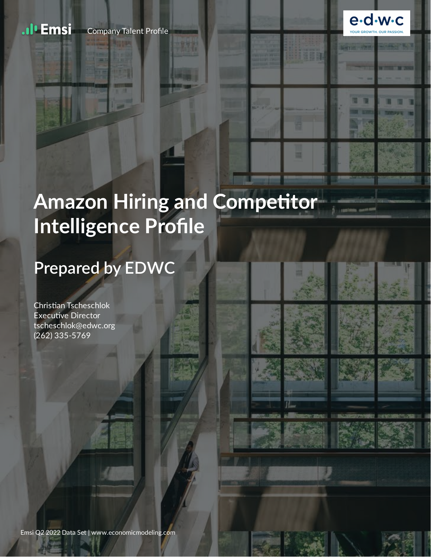

# **Amazon Hiring and Competitor Intelligence Profile**

# **Prepared by EDWC**

Christian Tscheschlok **Executive Director** tscheschlok@edwc.org (262) 335-5769

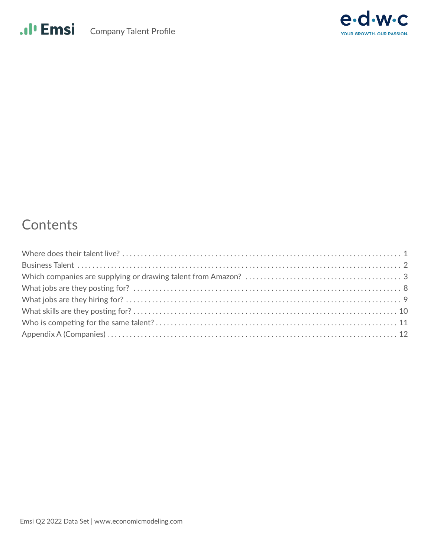



#### Contents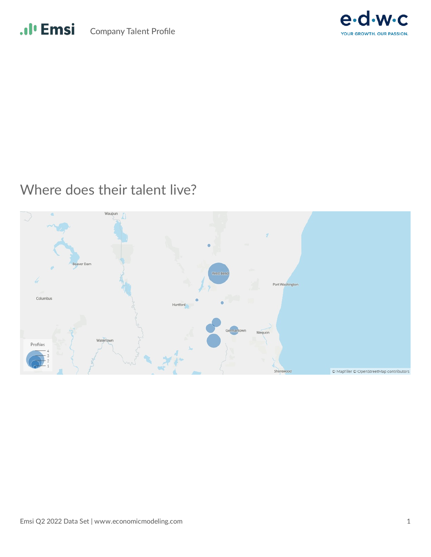



#### Where does their talent live?

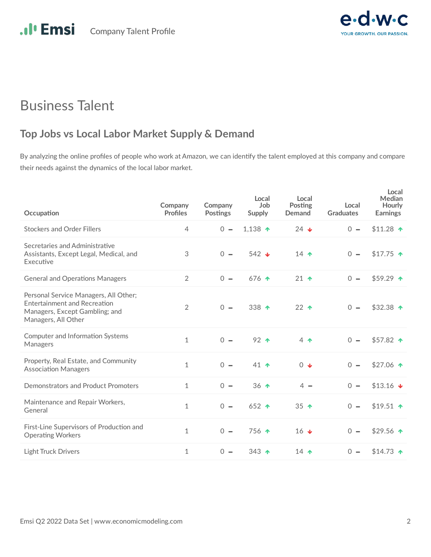

#### Business Talent

#### **Top Jobs vs Local Labor Market Supply & Demand**

By analyzing the online profiles of people who work at Amazon, we can identify the talent employed at this company and compare their needs against the dynamics of the local labor market.

| Occupation                                                                                                                            | Company<br><b>Profiles</b> | Company<br><b>Postings</b> | Local<br>Job<br>Supply | Local<br>Posting<br>Demand | Local<br><b>Graduates</b> | Local<br>Median<br>Hourly<br><b>Earnings</b> |
|---------------------------------------------------------------------------------------------------------------------------------------|----------------------------|----------------------------|------------------------|----------------------------|---------------------------|----------------------------------------------|
| <b>Stockers and Order Fillers</b>                                                                                                     | 4                          | $\Omega -$                 | 1,138 $\uparrow$       | $24 \cdot$                 | $0 -$                     | $$11.28$ ↑                                   |
| Secretaries and Administrative<br>Assistants, Except Legal, Medical, and<br>Executive                                                 | 3                          | $0 -$                      | 542 $\triangleleft$    | 14 $\uparrow$              | $0 -$                     | $$17.75$ ↑                                   |
| <b>General and Operations Managers</b>                                                                                                | $\overline{2}$             | $0 -$                      | 676 $\uparrow$         | $21 \triangleleft$         | $0 -$                     | $$59.29$ ↑                                   |
| Personal Service Managers, All Other;<br><b>Entertainment and Recreation</b><br>Managers, Except Gambling; and<br>Managers, All Other | $\overline{2}$             | $\Omega -$                 | 338 $\uparrow$         | $22$ $\uparrow$            | $0 -$                     | \$32.38 $\uparrow$                           |
| Computer and Information Systems<br>Managers                                                                                          | 1                          | $0 -$                      | $92$ $\uparrow$        | $4 \spadesuit$             | $0 -$                     | $$57.82$ ↑                                   |
| Property, Real Estate, and Community<br><b>Association Managers</b>                                                                   | $\mathbf{1}$               | $0 -$                      | 41 $\uparrow$          | $0\blacktriangleleft$      | $\overline{0}$<br>$\sim$  | \$27.06 $\uparrow$                           |
| Demonstrators and Product Promoters                                                                                                   | $\mathbf{1}$               | $0 -$                      | $36$ $\uparrow$        | $4 -$                      | $0 -$                     | $$13.16$ $\downarrow$                        |
| Maintenance and Repair Workers,<br>General                                                                                            | $\mathbf{1}$               | $\Omega -$                 | 652 $\uparrow$         | 35 $\uparrow$              | $0 -$                     | $$19.51$ ↑                                   |
| First-Line Supervisors of Production and<br><b>Operating Workers</b>                                                                  | $\mathbf{1}$               | $\Omega -$                 | $756$ $\uparrow$       | 16 $\frac{1}{2}$           | $0 -$                     | \$29.56 $\uparrow$                           |
| <b>Light Truck Drivers</b>                                                                                                            | $\mathbf{1}$               | $\Omega$ $-$               | 343 $\uparrow$         | 14 $\uparrow$              | $0 -$                     | $$14.73$ ↑                                   |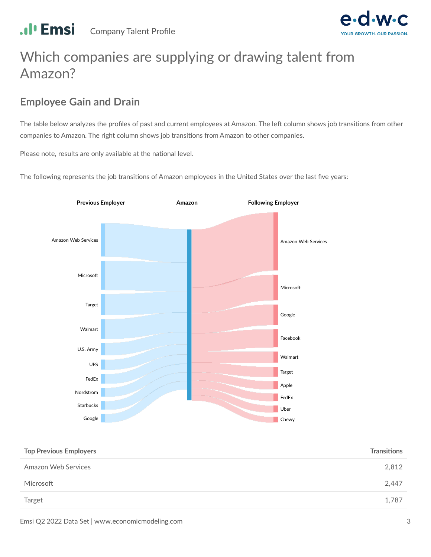

# Which companies are supplying or drawing talent from Amazon?

#### **Employee Gain and Drain**

The table below analyzes the profiles of past and current employees at Amazon. The left column shows job transitions from other companies to Amazon. The right column shows job transitions from Amazon to other companies.

Please note, results are only available at the national level.

The following represents the job transitions of Amazon employees in the United States over the last five years:



| <b>Top Previous Employers</b> | <b>Transitions</b> |
|-------------------------------|--------------------|
| Amazon Web Services           | 2,812              |
| Microsoft                     | 2,447              |
| Target                        | 1.787              |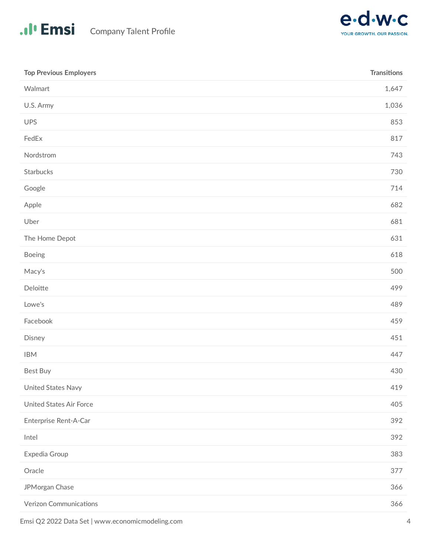

| <b>Top Previous Employers</b>  | <b>Transitions</b> |
|--------------------------------|--------------------|
| Walmart                        | 1,647              |
| U.S. Army                      | 1,036              |
| <b>UPS</b>                     | 853                |
| FedEx                          | 817                |
| Nordstrom                      | 743                |
| Starbucks                      | 730                |
| Google                         | 714                |
| Apple                          | 682                |
| Uber                           | 681                |
| The Home Depot                 | 631                |
| Boeing                         | 618                |
| Macy's                         | 500                |
| Deloitte                       | 499                |
| Lowe's                         | 489                |
| Facebook                       | 459                |
| Disney                         | 451                |
| <b>IBM</b>                     | 447                |
| Best Buy                       | 430                |
| United States Navy             | 419                |
| <b>United States Air Force</b> | 405                |
| Enterprise Rent-A-Car          | 392                |
| Intel                          | 392                |
| Expedia Group                  | 383                |
| Oracle                         | 377                |
| JPMorgan Chase                 | 366                |
| Verizon Communications         | 366                |
|                                |                    |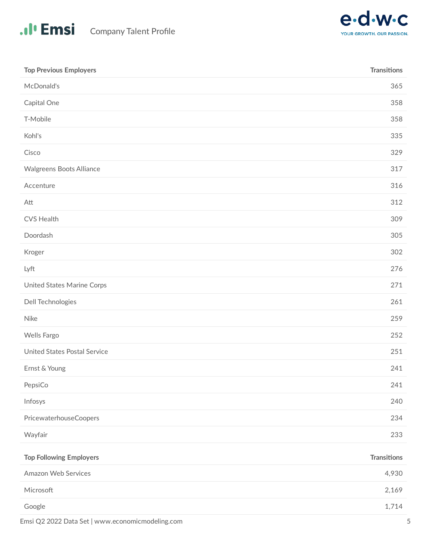

| <b>Top Previous Employers</b>  | <b>Transitions</b> |
|--------------------------------|--------------------|
| McDonald's                     | 365                |
| Capital One                    | 358                |
| T-Mobile                       | 358                |
| Kohl's                         | 335                |
| Cisco                          | 329                |
| Walgreens Boots Alliance       | 317                |
| Accenture                      | 316                |
| Att                            | 312                |
| <b>CVS Health</b>              | 309                |
| Doordash                       | 305                |
| Kroger                         | 302                |
| Lyft                           | 276                |
| United States Marine Corps     | 271                |
| Dell Technologies              | 261                |
| <b>Nike</b>                    | 259                |
| Wells Fargo                    | 252                |
| United States Postal Service   | 251                |
| Ernst & Young                  | 241                |
| PepsiCo                        | 241                |
| Infosys                        | 240                |
| PricewaterhouseCoopers         | 234                |
| Wayfair                        | 233                |
| <b>Top Following Employers</b> | <b>Transitions</b> |
| Amazon Web Services            | 4,930              |
| Microsoft                      | 2,169              |
| Google                         | 1,714              |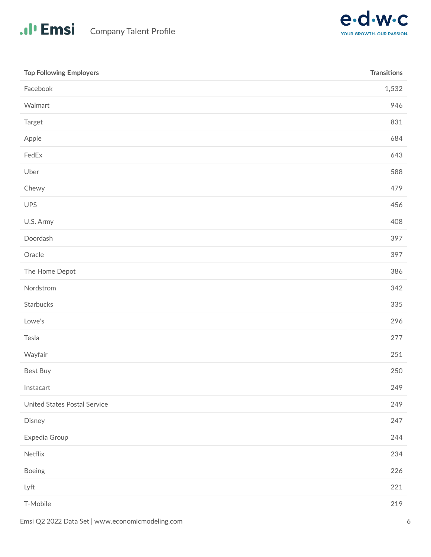

| <b>Top Following Employers</b> | <b>Transitions</b> |
|--------------------------------|--------------------|
| Facebook                       | 1,532              |
| Walmart                        | 946                |
| Target                         | 831                |
| Apple                          | 684                |
| FedEx                          | 643                |
| Uber                           | 588                |
| Chewy                          | 479                |
| UPS                            | 456                |
| U.S. Army                      | 408                |
| Doordash                       | 397                |
| Oracle                         | 397                |
| The Home Depot                 | 386                |
| Nordstrom                      | 342                |
| Starbucks                      | 335                |
| Lowe's                         | 296                |
| Tesla                          | 277                |
| Wayfair                        | 251                |
| Best Buy                       | 250                |
| Instacart                      | 249                |
| United States Postal Service   | 249                |
| Disney                         | 247                |
| Expedia Group                  | 244                |
| Netflix                        | 234                |
| Boeing                         | 226                |
| Lyft                           | 221                |
| T-Mobile                       | 219                |
|                                |                    |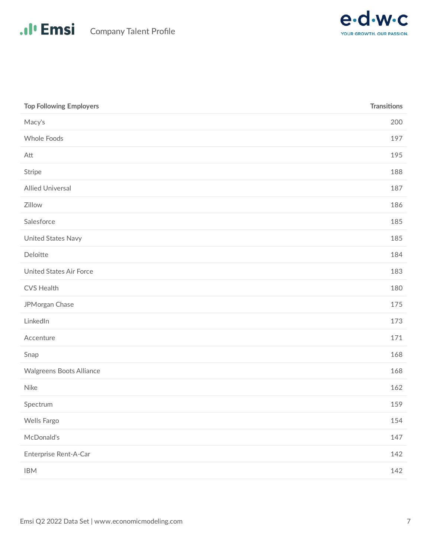

| <b>Top Following Employers</b> | <b>Transitions</b> |
|--------------------------------|--------------------|
| Macy's                         | 200                |
| Whole Foods                    | 197                |
| Att                            | 195                |
| Stripe                         | 188                |
| <b>Allied Universal</b>        | 187                |
| Zillow                         | 186                |
| Salesforce                     | 185                |
| United States Navy             | 185                |
| Deloitte                       | 184                |
| <b>United States Air Force</b> | 183                |
| CVS Health                     | 180                |
| JPMorgan Chase                 | 175                |
| LinkedIn                       | 173                |
| Accenture                      | 171                |
| Snap                           | 168                |
| Walgreens Boots Alliance       | 168                |
| <b>Nike</b>                    | 162                |
| Spectrum                       | 159                |
| Wells Fargo                    | 154                |
| McDonald's                     | 147                |
| Enterprise Rent-A-Car          | 142                |
| <b>IBM</b>                     | 142                |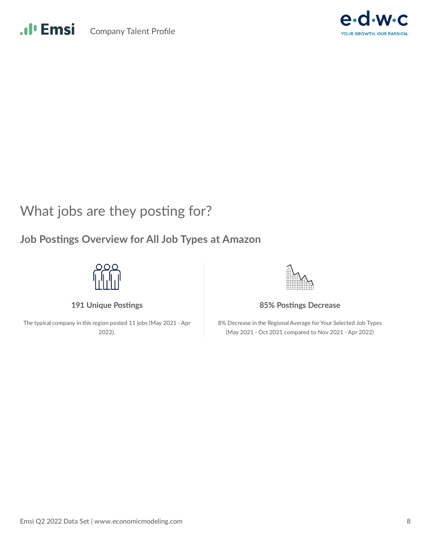



#### What jobs are they posting for?

#### **Job Postings Overview for All Job Types at Amazon**



**191 Unique Postings** 

The typical company in this region posted 11 jobs (May 2021 - Apr 2022).

**85% Postings Decrease** 

8% Decrease in the Regional Average for Your Selected Job Types (May 2021 - Oct 2021 compared to Nov 2021 - Apr 2022)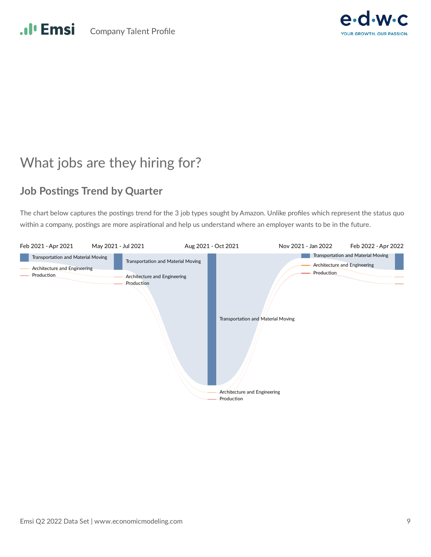

# What jobs are they hiring for?

#### **Job Postings Trend by Quarter**

The chart below captures the postings trend for the 3 job types sought by Amazon. Unlike profiles which represent the status quo within a company, postings are more aspirational and help us understand where an employer wants to be in the future.

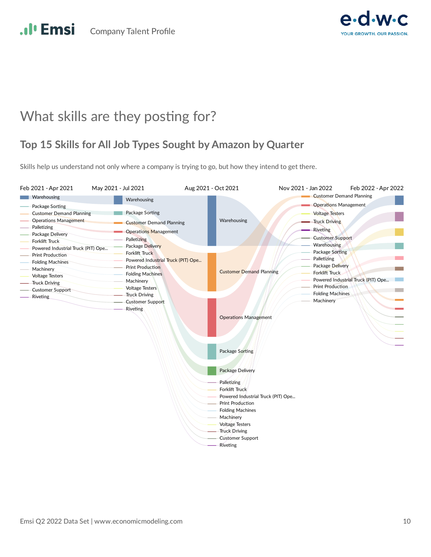

#### What skills are they posting for?

#### **Top 15 Skills for All Job Types Sought by Amazon by Quarter**

Skills help us understand not only where a company is trying to go, but how they intend to get there.

| Feb 2021 - Apr 2021                                         | May 2021 - Jul 2021 |                                                | Aug 2021 - Oct 2021 |                                                | Nov 2021 - Jan 2022 |                                 | Feb 2022 - Apr 2022                |
|-------------------------------------------------------------|---------------------|------------------------------------------------|---------------------|------------------------------------------------|---------------------|---------------------------------|------------------------------------|
| Warehousing                                                 |                     | Warehousing                                    |                     |                                                |                     | <b>Customer Demand Planning</b> |                                    |
| Package Sorting                                             |                     |                                                |                     |                                                |                     | <b>Operations Management</b>    |                                    |
| <b>Customer Demand Planning</b>                             |                     | Package Sorting                                |                     |                                                |                     | <b>Voltage Testers</b>          |                                    |
| <b>Operations Management</b>                                |                     | <b>Customer Demand Planning</b>                |                     | Warehousing                                    |                     | <b>Truck Driving</b>            |                                    |
| Palletizing                                                 |                     | <b>Operations Management</b>                   |                     |                                                |                     | - Riveting                      |                                    |
| Package Delivery                                            |                     | Palletizing                                    |                     |                                                |                     | <b>Customer Support</b>         |                                    |
| <b>Forklift Truck</b><br>Powered Industrial Truck (PIT) Ope |                     | Package Delivery                               |                     |                                                |                     | Warehousing                     |                                    |
| <b>Print Production</b>                                     |                     | <b>Forklift Truck</b>                          |                     |                                                |                     | Package Sorting                 |                                    |
| <b>Folding Machines</b>                                     |                     | Powered Industrial Truck (PIT) Ope             |                     |                                                |                     | Palletizing                     |                                    |
| Machinery                                                   |                     | <b>Print Production</b>                        |                     | <b>Customer Demand Planning</b>                |                     | Package Delivery                |                                    |
| <b>Voltage Testers</b>                                      |                     | <b>Folding Machines</b>                        |                     |                                                |                     | <b>Forklift Truck</b>           |                                    |
| <b>Truck Driving</b>                                        |                     | Machinery                                      |                     |                                                |                     | <b>Print Production</b>         | Powered Industrial Truck (PIT) Ope |
| <b>Customer Support</b>                                     |                     | <b>Voltage Testers</b><br><b>Truck Driving</b> |                     |                                                |                     | <b>Folding Machines</b>         |                                    |
| <b>Riveting</b>                                             |                     | <b>Customer Support</b>                        |                     |                                                |                     | Machinery                       |                                    |
|                                                             |                     | Riveting                                       |                     |                                                |                     |                                 |                                    |
|                                                             |                     |                                                |                     | <b>Operations Management</b>                   |                     |                                 |                                    |
|                                                             |                     |                                                |                     |                                                |                     |                                 |                                    |
|                                                             |                     |                                                |                     |                                                |                     |                                 |                                    |
|                                                             |                     |                                                |                     |                                                |                     |                                 |                                    |
|                                                             |                     |                                                |                     |                                                |                     |                                 |                                    |
|                                                             |                     |                                                |                     | Package Sorting                                |                     |                                 |                                    |
|                                                             |                     |                                                |                     |                                                |                     |                                 |                                    |
|                                                             |                     |                                                |                     | <b>Package Delivery</b>                        |                     |                                 |                                    |
|                                                             |                     |                                                |                     | Palletizing                                    |                     |                                 |                                    |
|                                                             |                     |                                                |                     | <b>Forklift Truck</b>                          |                     |                                 |                                    |
|                                                             |                     |                                                |                     | Powered Industrial Truck (PIT) Ope             |                     |                                 |                                    |
|                                                             |                     |                                                |                     | <b>Print Production</b>                        |                     |                                 |                                    |
|                                                             |                     |                                                |                     | <b>Folding Machines</b>                        |                     |                                 |                                    |
|                                                             |                     |                                                |                     | Machinery                                      |                     |                                 |                                    |
|                                                             |                     |                                                |                     | <b>Voltage Testers</b><br><b>Truck Driving</b> |                     |                                 |                                    |
|                                                             |                     |                                                |                     | Customer Support                               |                     |                                 |                                    |
|                                                             |                     |                                                |                     | Riveting                                       |                     |                                 |                                    |
|                                                             |                     |                                                |                     |                                                |                     |                                 |                                    |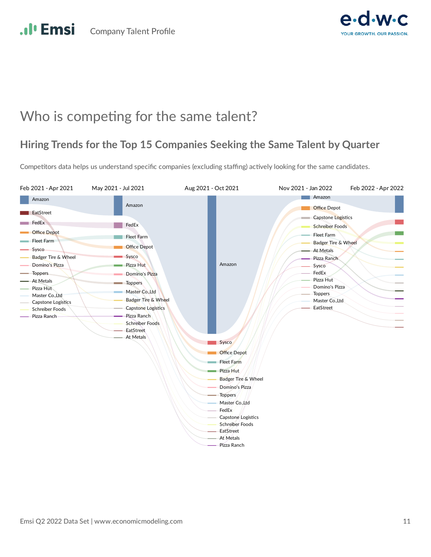

#### Who is competing for the same talent?

#### **Hiring Trends for the Top 15 Companies Seeking the Same Talent by Quarter**

Competitors data helps us understand specific companies (excluding staffing) actively looking for the same candidates.